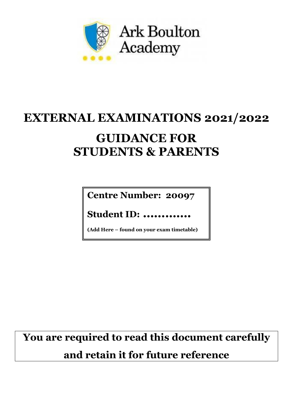

# **EXTERNAL EXAMINATIONS 2021/2022 GUIDANCE FOR STUDENTS & PARENTS**

**Centre Number: 20097**

**Student ID: ………….**

**(Add Here – found on your exam timetable)**

**You are required to read this document carefully and retain it for future reference**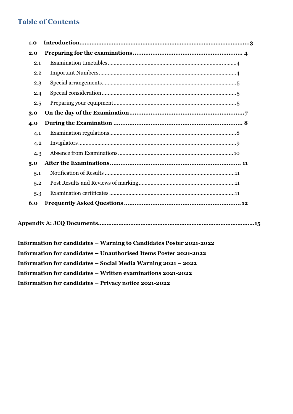# **Table of Contents**

| 1.0 |  |
|-----|--|
| 2.0 |  |
| 2.1 |  |
| 2.2 |  |
| 2.3 |  |
| 2.4 |  |
| 2.5 |  |
| 3.0 |  |
| 4.0 |  |
| 4.1 |  |
| 4.2 |  |
| 4.3 |  |
| 5.0 |  |
| 5.1 |  |
| 5.2 |  |
| 5.3 |  |
| 6.0 |  |

|--|--|

**Information for candidates – Warning to Candidates Poster 2021-2022 Information for candidates – Unauthorised Items Poster 2021-2022 Information for candidates – Social Media Warning 2021 – 2022 Information for candidates – Written examinations 2021-2022 Information for candidates – Privacy notice 2021-2022**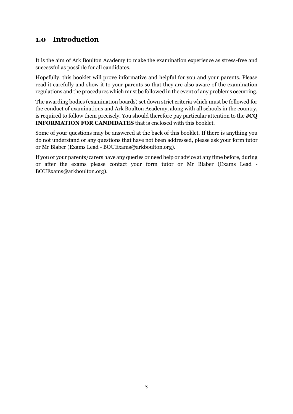# **1.0 Introduction**

It is the aim of Ark Boulton Academy to make the examination experience as stress-free and successful as possible for all candidates.

Hopefully, this booklet will prove informative and helpful for you and your parents. Please read it carefully and show it to your parents so that they are also aware of the examination regulations and the procedures which must be followed in the event of any problems occurring.

The awarding bodies (examination boards) set down strict criteria which must be followed for the conduct of examinations and Ark Boulton Academy, along with all schools in the country, is required to follow them precisely. You should therefore pay particular attention to the **JCQ INFORMATION FOR CANDIDATES** that is enclosed with this booklet.

Some of your questions may be answered at the back of this booklet. If there is anything you do not understand or any questions that have not been addressed, please ask your form tutor or Mr Blaber (Exams Lead - BOUExams@arkboulton.org).

If you or your parents/carers have any queries or need help or advice at any time before, during or after the exams please contact your form tutor or Mr Blaber (Exams Lead - BOUExams@arkboulton.org).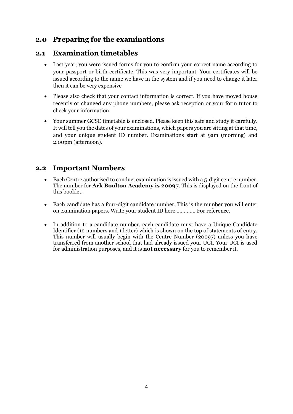# <span id="page-3-0"></span>**2.0 Preparing for the examinations**

## <span id="page-3-1"></span>**2.1 Examination timetables**

- Last year, you were issued forms for you to confirm your correct name according to your passport or birth certificate. This was very important. Your certificates will be issued according to the name we have in the system and if you need to change it later then it can be very expensive
- Please also check that your contact information is correct. If you have moved house recently or changed any phone numbers, please ask reception or your form tutor to check your information
- Your summer GCSE timetable is enclosed. Please keep this safe and study it carefully. It will tell you the dates of your examinations, which papers you are sitting at that time, and your unique student ID number. Examinations start at 9am (morning) and 2.00pm (afternoon).

# <span id="page-3-2"></span>**2.2 Important Numbers**

- Each Centre authorised to conduct examination is issued with a 5-digit centre number. The number for **Ark Boulton Academy is 20097**. This is displayed on the front of this booklet.
- Each candidate has a four-digit candidate number. This is the number you will enter on examination papers. Write your student ID here …………. For reference.
- <span id="page-3-3"></span>• In addition to a candidate number, each candidate must have a Unique Candidate Identifier (12 numbers and 1 letter) which is shown on the top of statements of entry. This number will usually begin with the Centre Number (20097) unless you have transferred from another school that had already issued your UCI. Your UCI is used for administration purposes, and it is **not necessary** for you to remember it.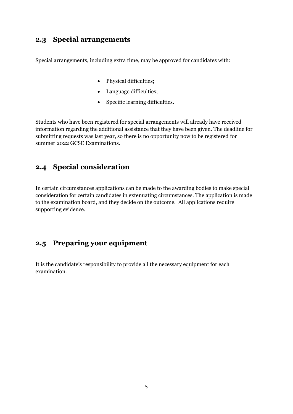## **2.3 Special arrangements**

Special arrangements, including extra time, may be approved for candidates with:

- Physical difficulties;
- Language difficulties;
- Specific learning difficulties.

Students who have been registered for special arrangements will already have received information regarding the additional assistance that they have been given. The deadline for submitting requests was last year, so there is no opportunity now to be registered for summer 2022 GCSE Examinations.

## <span id="page-4-0"></span>**2.4 Special consideration**

In certain circumstances applications can be made to the awarding bodies to make special consideration for certain candidates in extenuating circumstances. The application is made to the examination board, and they decide on the outcome. All applications require supporting evidence.

## <span id="page-4-1"></span>**2.5 Preparing your equipment**

It is the candidate's responsibility to provide all the necessary equipment for each examination.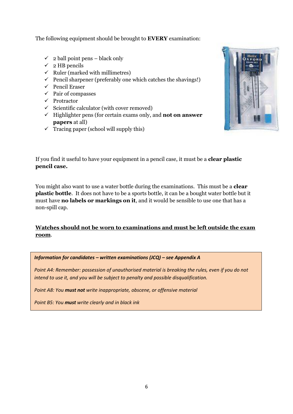The following equipment should be brought to **EVERY** examination:

- $\checkmark$  2 ball point pens black only
- $\checkmark$  2 HB pencils
- $\checkmark$  Ruler (marked with millimetres)
- $\checkmark$  Pencil sharpener (preferably one which catches the shavings!)
- ✓ Pencil Eraser
- ✓ Pair of compasses
- ✓ Protractor
- $\checkmark$  Scientific calculator (with cover removed)
- ✓ Highlighter pens (for certain exams only, and **not on answer papers** at all)
- $\checkmark$  Tracing paper (school will supply this)



If you find it useful to have your equipment in a pencil case, it must be a **clear plastic pencil case.**

You might also want to use a water bottle during the examinations. This must be a **clear plastic bottle**. It does not have to be a sports bottle, it can be a bought water bottle but it must have **no labels or markings on it**, and it would be sensible to use one that has a non-spill cap.

## **Watches should not be worn to examinations and must be left outside the exam room**.

*Information for candidates – written examinations (JCQ) – see Appendix A*

*Point A4: Remember: possession of unauthorised material is breaking the rules, even if you do not intend to use it, and you will be subject to penalty and possible disqualification.*

<span id="page-5-0"></span>*Point A8: You must not write inappropriate, obscene, or offensive material*

*Point B5: You must write clearly and in black ink*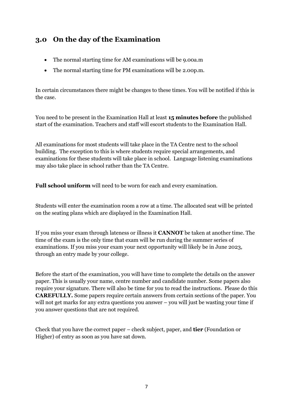# **3.0 On the day of the Examination**

- The normal starting time for AM examinations will be 9.00a.m
- The normal starting time for PM examinations will be 2.00p.m.

In certain circumstances there might be changes to these times. You will be notified if this is the case.

You need to be present in the Examination Hall at least **15 minutes before** the published start of the examination. Teachers and staff will escort students to the Examination Hall.

All examinations for most students will take place in the TA Centre next to the school building. The exception to this is where students require special arrangements, and examinations for these students will take place in school. Language listening examinations may also take place in school rather than the TA Centre.

**Full school uniform** will need to be worn for each and every examination.

Students will enter the examination room a row at a time. The allocated seat will be printed on the seating plans which are displayed in the Examination Hall.

If you miss your exam through lateness or illness it **CANNOT** be taken at another time. The time of the exam is the only time that exam will be run during the summer series of examinations. If you miss your exam your next opportunity will likely be in June 2023, through an entry made by your college.

Before the start of the examination, you will have time to complete the details on the answer paper. This is usually your name, centre number and candidate number. Some papers also require your signature. There will also be time for you to read the instructions. Please do this **CAREFULLY.** Some papers require certain answers from certain sections of the paper. You will not get marks for any extra questions you answer – you will just be wasting your time if you answer questions that are not required.

Check that you have the correct paper – check subject, paper, and **tier** (Foundation or Higher) of entry as soon as you have sat down.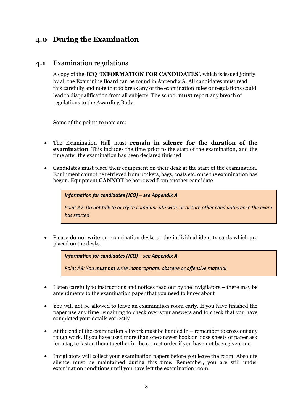# <span id="page-7-0"></span>**4.0 During the Examination**

## <span id="page-7-1"></span>**4.1** Examination regulations

A copy of the **JCQ 'INFORMATION FOR CANDIDATES'**, which is issued jointly by all the Examining Board can be found in Appendix A. All candidates must read this carefully and note that to break any of the examination rules or regulations could lead to disqualification from all subjects. The school **must** report any breach of regulations to the Awarding Body.

Some of the points to note are:

- The Examination Hall must **remain in silence for the duration of the examination**. This includes the time prior to the start of the examination, and the time after the examination has been declared finished
- Candidates must place their equipment on their desk at the start of the examination. Equipment cannot be retrieved from pockets, bags, coats etc. once the examination has begun. Equipment **CANNOT** be borrowed from another candidate

*Information for candidates (JCQ) – see Appendix A Point A7: Do not talk to or try to communicate with, or disturb other candidates once the exam has started*

• Please do not write on examination desks or the individual identity cards which are placed on the desks.

*Information for candidates (JCQ) – see Appendix A*

*Point A8: You must not write inappropriate, obscene or offensive material*

- Listen carefully to instructions and notices read out by the invigilators there may be amendments to the examination paper that you need to know about
- You will not be allowed to leave an examination room early. If you have finished the paper use any time remaining to check over your answers and to check that you have completed your details correctly
- At the end of the examination all work must be handed in remember to cross out any rough work. If you have used more than one answer book or loose sheets of paper ask for a tag to fasten them together in the correct order if you have not been given one
- Invigilators will collect your examination papers before you leave the room. Absolute silence must be maintained during this time. Remember, you are still under examination conditions until you have left the examination room.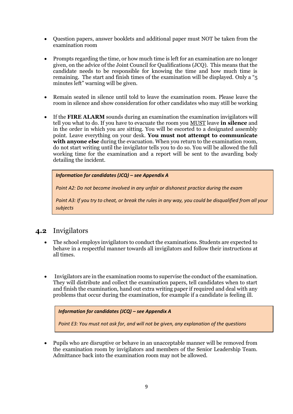- Question papers, answer booklets and additional paper must NOT be taken from the examination room
- Prompts regarding the time, or how much time is left for an examination are no longer given, on the advice of the Joint Council for Qualifications (JCQ). This means that the candidate needs to be responsible for knowing the time and how much time is remaining. The start and finish times of the examination will be displayed. Only a "5 minutes left" warning will be given.
- Remain seated in silence until told to leave the examination room. Please leave the room in silence and show consideration for other candidates who may still be working
- If the **FIRE ALARM** sounds during an examination the examination invigilators will tell you what to do. If you have to evacuate the room you MUST leave **in silence** and in the order in which you are sitting. You will be escorted to a designated assembly point. Leave everything on your desk. **You must not attempt to communicate with anyone else** during the evacuation. When you return to the examination room, do not start writing until the invigilator tells you to do so. You will be allowed the full working time for the examination and a report will be sent to the awarding body detailing the incident.

```
Information for candidates (JCQ) – see Appendix A
```
*Point A2: Do not become involved in any unfair or dishonest practice during the exam*

*Point A3: If you try to cheat, or break the rules in any way, you could be disqualified from all your subjects*

## <span id="page-8-0"></span>**4.2** Invigilators

- The school employs invigilators to conduct the examinations. Students are expected to behave in a respectful manner towards all invigilators and follow their instructions at all times.
- Invigilators are in the examination rooms to supervise the conduct of the examination. They will distribute and collect the examination papers, tell candidates when to start and finish the examination, hand out extra writing paper if required and deal with any problems that occur during the examination, for example if a candidate is feeling ill.

| Information for candidates $(JCQ)$ – see Appendix A                                     |  |
|-----------------------------------------------------------------------------------------|--|
| Point E3: You must not ask for, and will not be given, any explanation of the questions |  |

• Pupils who are disruptive or behave in an unacceptable manner will be removed from the examination room by invigilators and members of the Senior Leadership Team. Admittance back into the examination room may not be allowed.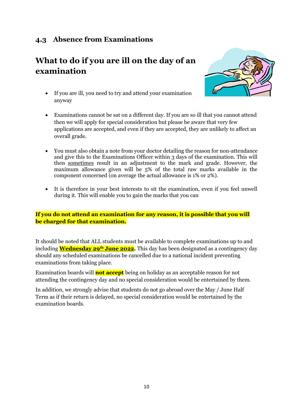# <span id="page-9-0"></span>**4.3 Absence from Examinations**

# **What to do if you are ill on the day of an examination**



- If you are ill, you need to try and attend your examination anyway
- Examinations cannot be sat on a different day. If you are so ill that you cannot attend then we will apply for special consideration but please be aware that very few applications are accepted, and even if they are accepted, they are unlikely to affect an overall grade.
- You must also obtain a note from your doctor detailing the reason for non-attendance and give this to the Examinations Officer within 3 days of the examination. This will then sometimes result in an adjustment to the mark and grade. However, the maximum allowance given will be 5% of the total raw marks available in the component concerned (on average the actual allowance is 1% or 2%).
- It is therefore in your best interests to sit the examination, even if you feel unwell during it. This will enable you to gain the marks that you can

## **If you do not attend an examination for any reason, it is possible that you will be charged for that examination.**

It should be noted that ALL students must be available to complete examinations up to and including **Wednesday 29th June 2022.** This day has been designated as a contingency day should any scheduled examinations be cancelled due to a national incident preventing examinations from taking place.

Examination boards will **not accept** being on holiday as an acceptable reason for not attending the contingency day and no special consideration would be entertained by them.

In addition, we strongly advise that students do not go abroad over the May / June Half Term as if their return is delayed, no special consideration would be entertained by the examination boards.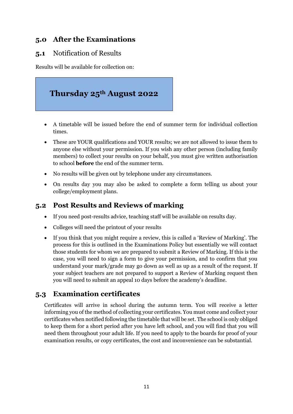# <span id="page-10-0"></span>**5.0 After the Examinations**

## <span id="page-10-1"></span>**5.1** Notification of Results

Results will be available for collection on:



- A timetable will be issued before the end of summer term for individual collection times.
- These are YOUR qualifications and YOUR results; we are not allowed to issue them to anyone else without your permission. If you wish any other person (including family members) to collect your results on your behalf, you must give written authorisation to school **before** the end of the summer term.
- No results will be given out by telephone under any circumstances.
- On results day you may also be asked to complete a form telling us about your college/employment plans.

# <span id="page-10-2"></span>**5.2 Post Results and Reviews of marking**

- If you need post-results advice, teaching staff will be available on results day.
- Colleges will need the printout of your results
- If you think that you might require a review, this is called a 'Review of Marking'. The process for this is outlined in the Examinations Policy but essentially we will contact those students for whom we are prepared to submit a Review of Marking. If this is the case, you will need to sign a form to give your permission, and to confirm that you understand your mark/grade may go down as well as up as a result of the request. If your subject teachers are not prepared to support a Review of Marking request then you will need to submit an appeal 10 days before the academy's deadline.

# <span id="page-10-3"></span>**5.3 Examination certificates**

Certificates will arrive in school during the autumn term. You will receive a letter informing you of the method of collecting your certificates. You must come and collect your certificates when notified following the timetable that will be set. The school is only obliged to keep them for a short period after you have left school, and you will find that you will need them throughout your adult life. If you need to apply to the boards for proof of your examination results, or copy certificates, the cost and inconvenience can be substantial.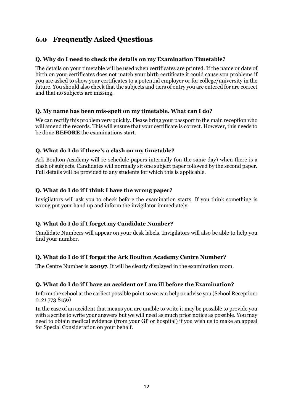# <span id="page-11-0"></span>**6.0 Frequently Asked Questions**

## **Q. Why do I need to check the details on my Examination Timetable?**

The details on your timetable will be used when certificates are printed. If the name or date of birth on your certificates does not match your birth certificate it could cause you problems if you are asked to show your certificates to a potential employer or for college/university in the future. You should also check that the subjects and tiers of entry you are entered for are correct and that no subjects are missing.

## **Q. My name has been mis-spelt on my timetable. What can I do?**

We can rectify this problem very quickly. Please bring your passport to the main reception who will amend the records. This will ensure that your certificate is correct. However, this needs to be done **BEFORE** the examinations start.

## **Q. What do I do if there's a clash on my timetable?**

Ark Boulton Academy will re-schedule papers internally (on the same day) when there is a clash of subjects. Candidates will normally sit one subject paper followed by the second paper. Full details will be provided to any students for which this is applicable.

## **Q. What do I do if I think I have the wrong paper?**

Invigilators will ask you to check before the examination starts. If you think something is wrong put your hand up and inform the invigilator immediately.

## **Q. What do I do if I forget my Candidate Number?**

Candidate Numbers will appear on your desk labels. Invigilators will also be able to help you find your number.

## **Q. What do I do if I forget the Ark Boulton Academy Centre Number?**

The Centre Number is **20097**. It will be clearly displayed in the examination room.

## **Q. What do I do if I have an accident or I am ill before the Examination?**

Inform the school at the earliest possible point so we can help or advise you (School Reception: 0121 773 8156)

In the case of an accident that means you are unable to write it may be possible to provide you with a scribe to write your answers but we will need as much prior notice as possible. You may need to obtain medical evidence (from your GP or hospital) if you wish us to make an appeal for Special Consideration on your behalf.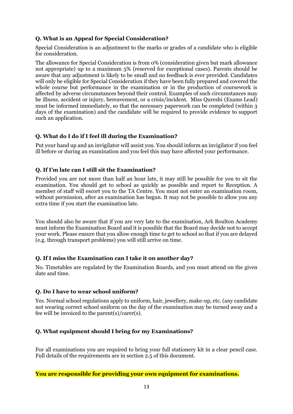#### **Q. What is an Appeal for Special Consideration?**

Special Consideration is an adjustment to the marks or grades of a candidate who is eligible for consideration.

The allowance for Special Consideration is from 0% (consideration given but mark allowance not appropriate) up to a maximum 5% (reserved for exceptional cases). Parents should be aware that any adjustment is likely to be small and no feedback is ever provided. Candidates will only be eligible for Special Consideration if they have been fully prepared and covered the whole course but performance in the examination or in the production of coursework is affected by adverse circumstances beyond their control. Examples of such circumstances may be illness, accident or injury, bereavement, or a crisis/incident. Miss Qureshi (Exams Lead) must be informed immediately, so that the necessary paperwork can be completed (within 3 days of the examination) and the candidate will be required to provide evidence to support such an application.

## **Q. What do I do if I feel ill during the Examination?**

Put your hand up and an invigilator will assist you. You should inform an invigilator if you feel ill before or during an examination and you feel this may have affected your performance.

#### **Q. If I'm late can I still sit the Examination?**

Provided you are not more than half an hour late, it may still be possible for you to sit the examination. You should get to school as quickly as possible and report to Reception. A member of staff will escort you to the TA Centre. You must not enter an examination room, without permission, after an examination has begun. It may not be possible to allow you any extra time if you start the examination late.

You should also be aware that if you are very late to the examination, Ark Boulton Academy must inform the Examination Board and it is possible that the Board may decide not to accept your work. Please ensure that you allow enough time to get to school so that if you are delayed (e.g. through transport problems) you will still arrive on time.

#### **Q. If I miss the Examination can I take it on another day?**

No. Timetables are regulated by the Examination Boards, and you must attend on the given date and time.

#### **Q. Do I have to wear school uniform?**

Yes. Normal school regulations apply to uniform, hair, jewellery, make-up, etc. (any candidate not wearing correct school uniform on the day of the examination may be turned away and a fee will be invoiced to the parent(s)/carer(s).

#### **Q. What equipment should I bring for my Examinations?**

For all examinations you are required to bring your full stationery kit in a clear pencil case. Full details of the requirements are in section 2.5 of this document.

#### **You are responsible for providing your own equipment for examinations.**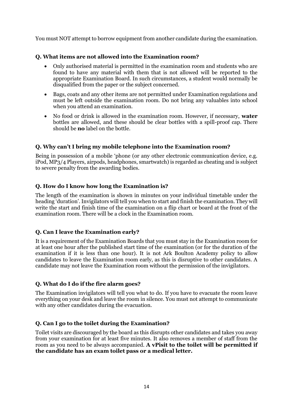You must NOT attempt to borrow equipment from another candidate during the examination.

#### **Q. What items are not allowed into the Examination room?**

- Only authorised material is permitted in the examination room and students who are found to have any material with them that is not allowed will be reported to the appropriate Examination Board. In such circumstances, a student would normally be disqualified from the paper or the subject concerned.
- Bags, coats and any other items are not permitted under Examination regulations and must be left outside the examination room. Do not bring any valuables into school when you attend an examination.
- No food or drink is allowed in the examination room. However, if necessary, **water** bottles are allowed, and these should be clear bottles with a spill-proof cap. There should be **no** label on the bottle.

#### **Q. Why can't I bring my mobile telephone into the Examination room?**

Being in possession of a mobile 'phone (or any other electronic communication device, e.g. iPod, MP3/4 Players, airpods, headphones, smartwatch) is regarded as cheating and is subject to severe penalty from the awarding bodies.

#### **Q. How do I know how long the Examination is?**

The length of the examination is shown in minutes on your individual timetable under the heading 'duration'. Invigilators will tell you when to start and finish the examination. They will write the start and finish time of the examination on a flip chart or board at the front of the examination room. There will be a clock in the Examination room.

## **Q. Can I leave the Examination early?**

It is a requirement of the Examination Boards that you must stay in the Examination room for at least one hour after the published start time of the examination (or for the duration of the examination if it is less than one hour). It is not Ark Boulton Academy policy to allow candidates to leave the Examination room early, as this is disruptive to other candidates. A candidate may not leave the Examination room without the permission of the invigilators.

#### **Q. What do I do if the fire alarm goes?**

The Examination invigilators will tell you what to do. If you have to evacuate the room leave everything on your desk and leave the room in silence. You must not attempt to communicate with any other candidates during the evacuation.

#### **Q. Can I go to the toilet during the Examination?**

Toilet visits are discouraged by the board as this disrupts other candidates and takes you away from your examination for at least five minutes. It also removes a member of staff from the room as you need to be always accompanied. **A vPisit to the toilet will be permitted if the candidate has an exam toilet pass or a medical letter.**